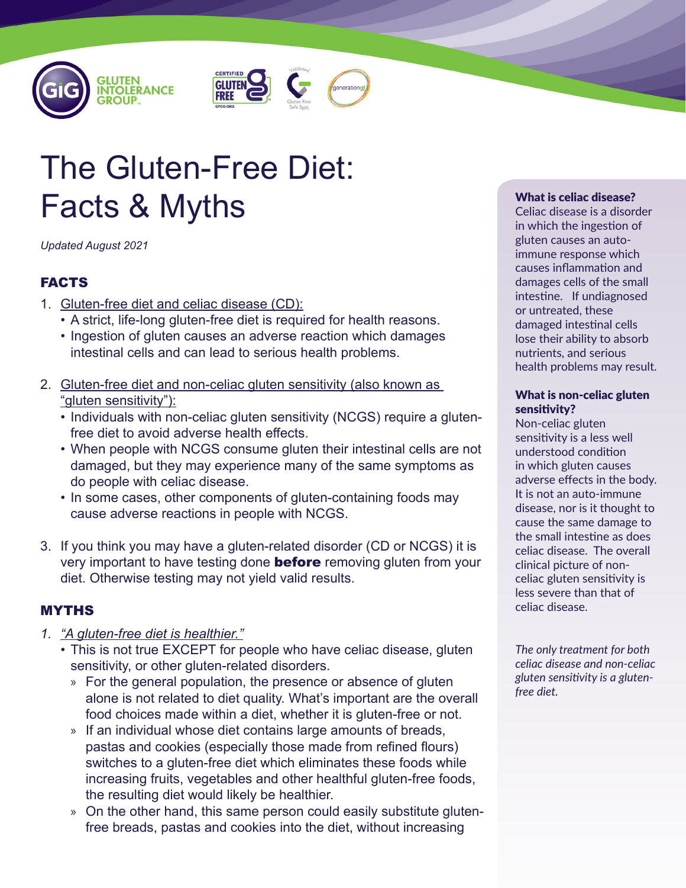





# The Gluten-Free Diet: Facts & Myths

*Updated August 2021*

# FACTS

- 1. Gluten-free diet and celiac disease (CD):
	- A strict, life-long gluten-free diet is required for health reasons.
	- Ingestion of gluten causes an adverse reaction which damages intestinal cells and can lead to serious health problems.
- 2. Gluten-free diet and non-celiac gluten sensitivity (also known as "gluten sensitivity"):
	- Individuals with non-celiac gluten sensitivity (NCGS) require a glutenfree diet to avoid adverse health effects.
	- When people with NCGS consume gluten their intestinal cells are not damaged, but they may experience many of the same symptoms as do people with celiac disease.
	- In some cases, other components of gluten-containing foods may cause adverse reactions in people with NCGS.
- 3. If you think you may have a gluten-related disorder (CD or NCGS) it is very important to have testing done **before** removing gluten from your diet. Otherwise testing may not yield valid results.

# MYTHS

- *1. "A gluten-free diet is healthier."*
	- This is not true EXCEPT for people who have celiac disease, gluten sensitivity, or other gluten-related disorders.
		- » For the general population, the presence or absence of gluten alone is not related to diet quality. What's important are the overall food choices made within a diet, whether it is gluten-free or not.
		- » If an individual whose diet contains large amounts of breads, pastas and cookies (especially those made from refined flours) switches to a gluten-free diet which eliminates these foods while increasing fruits, vegetables and other healthful gluten-free foods, the resulting diet would likely be healthier.
		- » On the other hand, this same person could easily substitute glutenfree breads, pastas and cookies into the diet, without increasing

#### What is celiac disease?

Celiac disease is a disorder in which the ingestion of gluten causes an autoimmune response which causes inflammation and damages cells of the small intestine. If undiagnosed or untreated, these damaged intestinal cells lose their ability to absorb nutrients, and serious health problems may result.

#### What is non-celiac gluten sensitivity?

Non-celiac gluten sensitivity is a less well understood condition in which gluten causes adverse effects in the body. It is not an auto-immune disease, nor is it thought to cause the same damage to the small intestine as does celiac disease. The overall clinical picture of nonceliac gluten sensitivity is less severe than that of celiac disease.

*The only treatment for both celiac disease and non-celiac gluten sensitivity is a glutenfree diet.*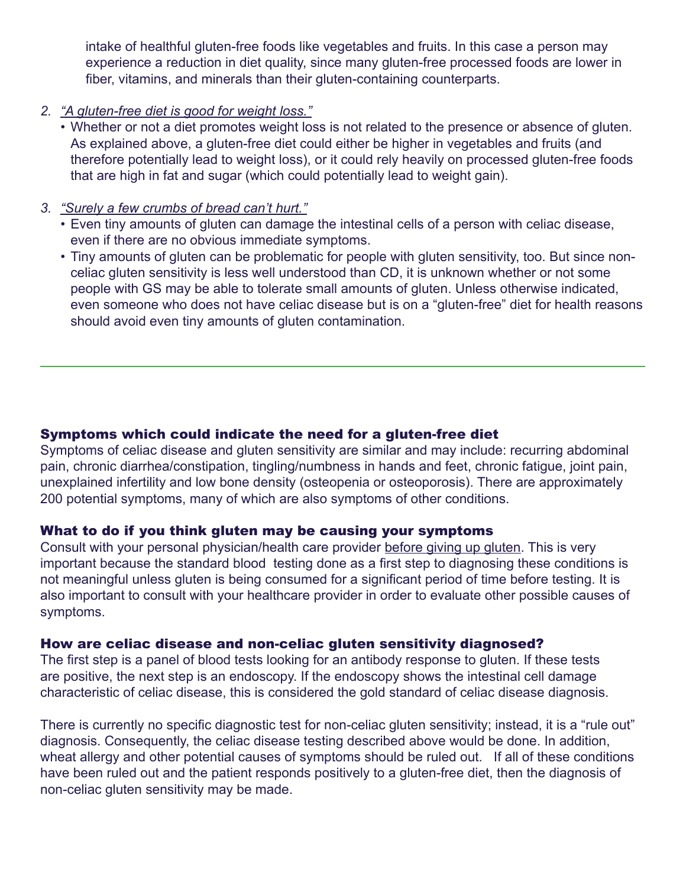intake of healthful gluten-free foods like vegetables and fruits. In this case a person may experience a reduction in diet quality, since many gluten-free processed foods are lower in fiber, vitamins, and minerals than their gluten-containing counterparts.

- *2. "A gluten-free diet is good for weight loss."*
	- Whether or not a diet promotes weight loss is not related to the presence or absence of gluten. As explained above, a gluten-free diet could either be higher in vegetables and fruits (and therefore potentially lead to weight loss), or it could rely heavily on processed gluten-free foods that are high in fat and sugar (which could potentially lead to weight gain).
- *3. "Surely a few crumbs of bread can't hurt."*
	- Even tiny amounts of gluten can damage the intestinal cells of a person with celiac disease, even if there are no obvious immediate symptoms.
	- Tiny amounts of gluten can be problematic for people with gluten sensitivity, too. But since nonceliac gluten sensitivity is less well understood than CD, it is unknown whether or not some people with GS may be able to tolerate small amounts of gluten. Unless otherwise indicated, even someone who does not have celiac disease but is on a "gluten-free" diet for health reasons should avoid even tiny amounts of gluten contamination.

# Symptoms which could indicate the need for a gluten-free diet

Symptoms of celiac disease and gluten sensitivity are similar and may include: recurring abdominal pain, chronic diarrhea/constipation, tingling/numbness in hands and feet, chronic fatigue, joint pain, unexplained infertility and low bone density (osteopenia or osteoporosis). There are approximately 200 potential symptoms, many of which are also symptoms of other conditions.

#### What to do if you think gluten may be causing your symptoms

Consult with your personal physician/health care provider before giving up gluten. This is very important because the standard blood testing done as a first step to diagnosing these conditions is not meaningful unless gluten is being consumed for a significant period of time before testing. It is also important to consult with your healthcare provider in order to evaluate other possible causes of symptoms.

# How are celiac disease and non-celiac gluten sensitivity diagnosed?

The first step is a panel of blood tests looking for an antibody response to gluten. If these tests are positive, the next step is an endoscopy. If the endoscopy shows the intestinal cell damage characteristic of celiac disease, this is considered the gold standard of celiac disease diagnosis.

There is currently no specific diagnostic test for non-celiac gluten sensitivity; instead, it is a "rule out" diagnosis. Consequently, the celiac disease testing described above would be done. In addition, wheat allergy and other potential causes of symptoms should be ruled out. If all of these conditions have been ruled out and the patient responds positively to a gluten-free diet, then the diagnosis of non-celiac gluten sensitivity may be made.